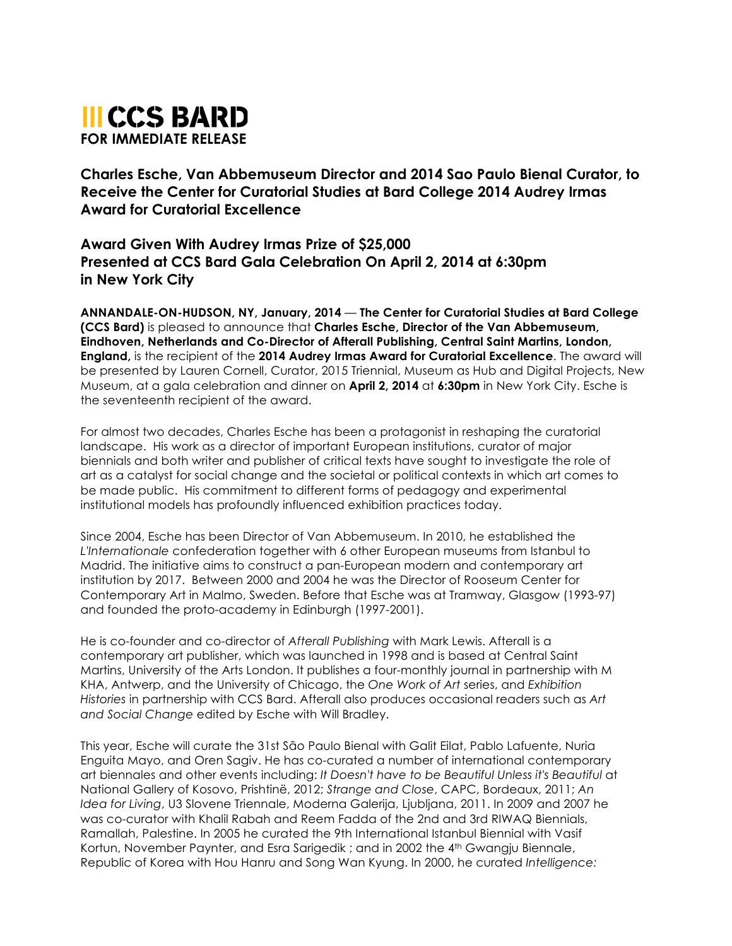

**Charles Esche, Van Abbemuseum Director and 2014 Sao Paulo Bienal Curator, to Receive the Center for Curatorial Studies at Bard College 2014 Audrey Irmas Award for Curatorial Excellence** 

**Award Given With Audrey Irmas Prize of \$25,000 Presented at CCS Bard Gala Celebration On April 2, 2014 at 6:30pm in New York City**

**ANNANDALE-ON-HUDSON, NY, January, 2014** — **The Center for Curatorial Studies at Bard College (CCS Bard)** is pleased to announce that **Charles Esche, Director of the Van Abbemuseum, Eindhoven, Netherlands and Co-Director of Afterall Publishing, Central Saint Martins, London, England,** is the recipient of the **2014 Audrey Irmas Award for Curatorial Excellence**. The award will be presented by Lauren Cornell, Curator, 2015 Triennial, Museum as Hub and Digital Projects, New Museum, at a gala celebration and dinner on **April 2, 2014** at **6:30pm** in New York City. Esche is the seventeenth recipient of the award.

For almost two decades, Charles Esche has been a protagonist in reshaping the curatorial landscape. His work as a director of important European institutions, curator of major biennials and both writer and publisher of critical texts have sought to investigate the role of art as a catalyst for social change and the societal or political contexts in which art comes to be made public. His commitment to different forms of pedagogy and experimental institutional models has profoundly influenced exhibition practices today.

Since 2004, Esche has been Director of Van Abbemuseum. In 2010, he established the *L'Internationale* confederation together with 6 other European museums from Istanbul to Madrid. The initiative aims to construct a pan-European modern and contemporary art institution by 2017. Between 2000 and 2004 he was the Director of Rooseum Center for Contemporary Art in Malmo, Sweden. Before that Esche was at Tramway, Glasgow (1993-97) and founded the proto-academy in Edinburgh (1997-2001).

He is co-founder and co-director of *Afterall Publishing* with Mark Lewis. Afterall is a contemporary art publisher, which was launched in 1998 and is based at Central Saint Martins, University of the Arts London. It publishes a four-monthly journal in partnership with M KHA, Antwerp, and the University of Chicago, the *One Work of Art* series, and *Exhibition Histories* in partnership with CCS Bard. Afterall also produces occasional readers such as *Art and Social Change* edited by Esche with Will Bradley.

This year, Esche will curate the 31st São Paulo Bienal with Galit Eilat, Pablo Lafuente, Nuria Enguita Mayo, and Oren Sagiv. He has co-curated a number of international contemporary art biennales and other events including: *It Doesn't have to be Beautiful Unless it's Beautiful* at National Gallery of Kosovo, Prishtinë, 2012; *Strange and Close*, CAPC, Bordeaux, 2011; *An Idea for Living*, U3 Slovene Triennale, Moderna Galerija, Ljubljana, 2011. In 2009 and 2007 he was co-curator with Khalil Rabah and Reem Fadda of the 2nd and 3rd RIWAQ Biennials, Ramallah, Palestine. In 2005 he curated the 9th International Istanbul Biennial with Vasif Kortun, November Paynter, and Esra Sarigedik ; and in 2002 the 4<sup>th</sup> Gwangiu Biennale. Republic of Korea with Hou Hanru and Song Wan Kyung. In 2000, he curated *Intelligence:*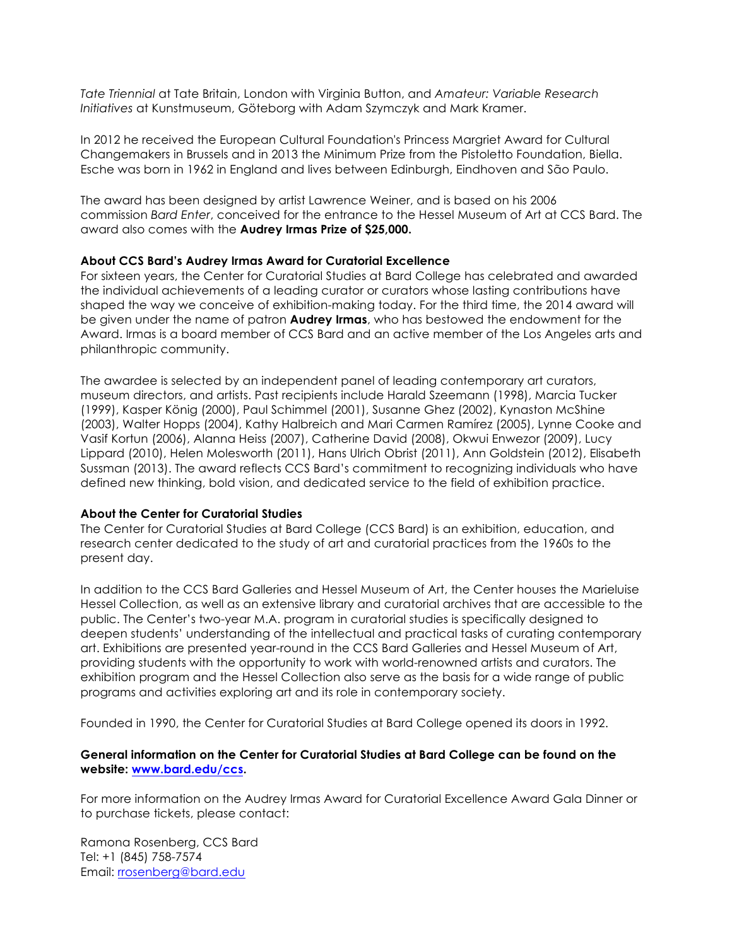*Tate Triennial* at Tate Britain, London with Virginia Button, and *Amateur: Variable Research Initiatives* at Kunstmuseum, Göteborg with Adam Szymczyk and Mark Kramer.

In 2012 he received the European Cultural Foundation's Princess Margriet Award for Cultural Changemakers in Brussels and in 2013 the Minimum Prize from the Pistoletto Foundation, Biella. Esche was born in 1962 in England and lives between Edinburgh, Eindhoven and São Paulo.

The award has been designed by artist Lawrence Weiner, and is based on his 2006 commission *Bard Enter*, conceived for the entrance to the Hessel Museum of Art at CCS Bard. The award also comes with the **Audrey Irmas Prize of \$25,000.** 

## **About CCS Bard's Audrey Irmas Award for Curatorial Excellence**

For sixteen years, the Center for Curatorial Studies at Bard College has celebrated and awarded the individual achievements of a leading curator or curators whose lasting contributions have shaped the way we conceive of exhibition-making today. For the third time, the 2014 award will be given under the name of patron **Audrey Irmas**, who has bestowed the endowment for the Award. Irmas is a board member of CCS Bard and an active member of the Los Angeles arts and philanthropic community.

The awardee is selected by an independent panel of leading contemporary art curators, museum directors, and artists. Past recipients include Harald Szeemann (1998), Marcia Tucker (1999), Kasper König (2000), Paul Schimmel (2001), Susanne Ghez (2002), Kynaston McShine (2003), Walter Hopps (2004), Kathy Halbreich and Mari Carmen Ramírez (2005), Lynne Cooke and Vasif Kortun (2006), Alanna Heiss (2007), Catherine David (2008), Okwui Enwezor (2009), Lucy Lippard (2010), Helen Molesworth (2011), Hans Ulrich Obrist (2011), Ann Goldstein (2012), Elisabeth Sussman (2013). The award reflects CCS Bard's commitment to recognizing individuals who have defined new thinking, bold vision, and dedicated service to the field of exhibition practice.

#### **About the Center for Curatorial Studies**

The Center for Curatorial Studies at Bard College (CCS Bard) is an exhibition, education, and research center dedicated to the study of art and curatorial practices from the 1960s to the present day.

In addition to the CCS Bard Galleries and Hessel Museum of Art, the Center houses the Marieluise Hessel Collection, as well as an extensive library and curatorial archives that are accessible to the public. The Center's two-year M.A. program in curatorial studies is specifically designed to deepen students' understanding of the intellectual and practical tasks of curating contemporary art. Exhibitions are presented year-round in the CCS Bard Galleries and Hessel Museum of Art, providing students with the opportunity to work with world-renowned artists and curators. The exhibition program and the Hessel Collection also serve as the basis for a wide range of public programs and activities exploring art and its role in contemporary society.

Founded in 1990, the Center for Curatorial Studies at Bard College opened its doors in 1992.

## **General information on the Center for Curatorial Studies at Bard College can be found on the website: www.bard.edu/ccs.**

For more information on the Audrey Irmas Award for Curatorial Excellence Award Gala Dinner or to purchase tickets, please contact:

Ramona Rosenberg, CCS Bard Tel: +1 (845) 758-7574 Email: rrosenberg@bard.edu